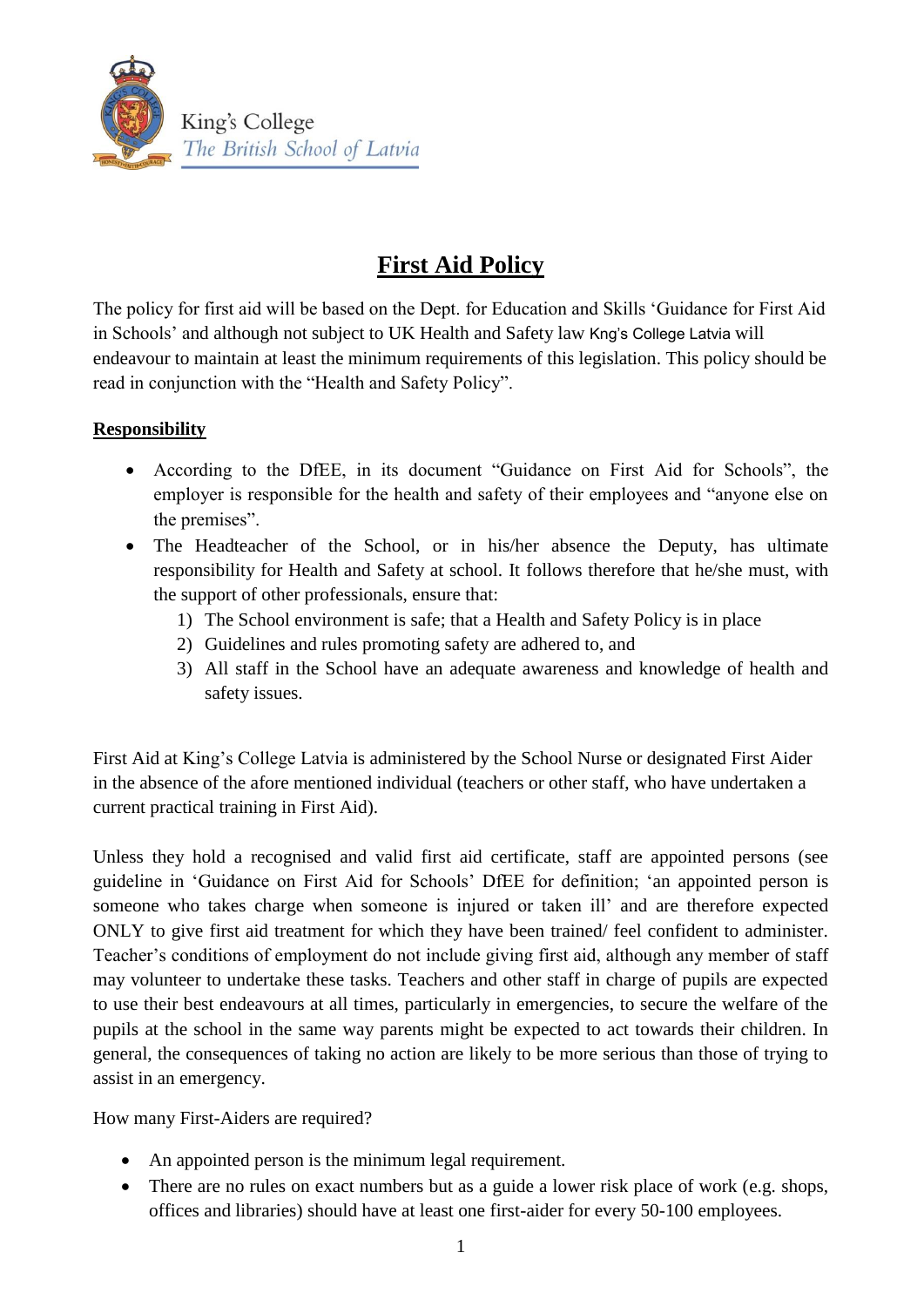

# **First Aid Policy**

The policy for first aid will be based on the Dept. for Education and Skills 'Guidance for First Aid in Schools' and although not subject to UK Health and Safety law Kng's College Latvia will endeavour to maintain at least the minimum requirements of this legislation. This policy should be read in conjunction with the "Health and Safety Policy".

## **Responsibility**

- According to the DfEE, in its document "Guidance on First Aid for Schools", the employer is responsible for the health and safety of their employees and "anyone else on the premises".
- The Headteacher of the School, or in his/her absence the Deputy, has ultimate responsibility for Health and Safety at school. It follows therefore that he/she must, with the support of other professionals, ensure that:
	- 1) The School environment is safe; that a Health and Safety Policy is in place
	- 2) Guidelines and rules promoting safety are adhered to, and
	- 3) All staff in the School have an adequate awareness and knowledge of health and safety issues.

First Aid at King's College Latvia is administered by the School Nurse or designated First Aider in the absence of the afore mentioned individual (teachers or other staff, who have undertaken a current practical training in First Aid).

Unless they hold a recognised and valid first aid certificate, staff are appointed persons (see guideline in 'Guidance on First Aid for Schools' DfEE for definition; 'an appointed person is someone who takes charge when someone is injured or taken ill' and are therefore expected ONLY to give first aid treatment for which they have been trained/ feel confident to administer. Teacher's conditions of employment do not include giving first aid, although any member of staff may volunteer to undertake these tasks. Teachers and other staff in charge of pupils are expected to use their best endeavours at all times, particularly in emergencies, to secure the welfare of the pupils at the school in the same way parents might be expected to act towards their children. In general, the consequences of taking no action are likely to be more serious than those of trying to assist in an emergency.

How many First-Aiders are required?

- An appointed person is the minimum legal requirement.
- There are no rules on exact numbers but as a guide a lower risk place of work (e.g. shops, offices and libraries) should have at least one first-aider for every 50-100 employees.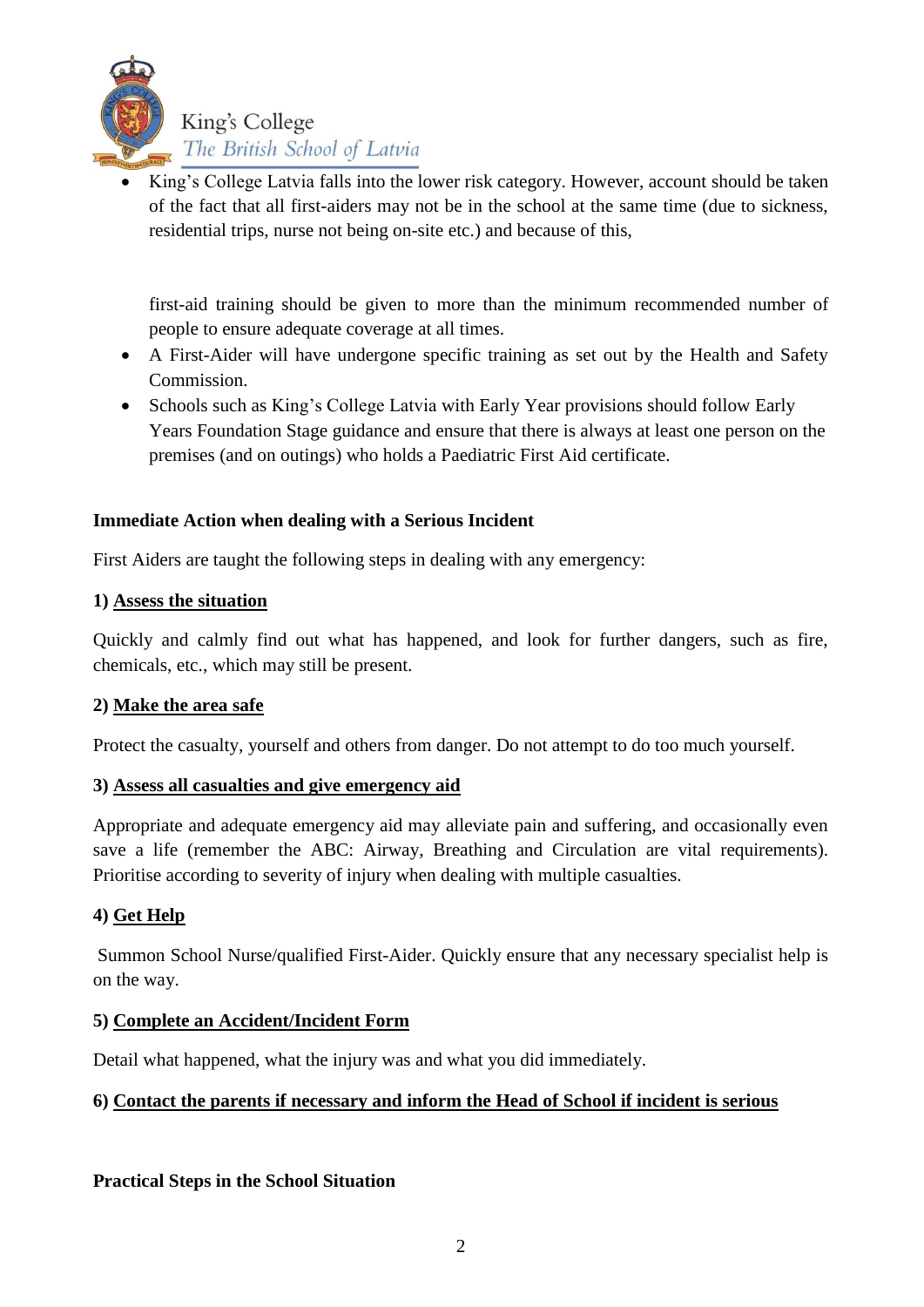

 King's College Latvia falls into the lower risk category. However, account should be taken of the fact that all first-aiders may not be in the school at the same time (due to sickness, residential trips, nurse not being on-site etc.) and because of this,

first-aid training should be given to more than the minimum recommended number of people to ensure adequate coverage at all times.

- A First-Aider will have undergone specific training as set out by the Health and Safety Commission.
- Schools such as King's College Latvia with Early Year provisions should follow Early Years Foundation Stage guidance and ensure that there is always at least one person on the premises (and on outings) who holds a Paediatric First Aid certificate.

#### **Immediate Action when dealing with a Serious Incident**

First Aiders are taught the following steps in dealing with any emergency:

#### **1) Assess the situation**

Quickly and calmly find out what has happened, and look for further dangers, such as fire, chemicals, etc., which may still be present.

## **2) Make the area safe**

Protect the casualty, yourself and others from danger. Do not attempt to do too much yourself.

## **3) Assess all casualties and give emergency aid**

Appropriate and adequate emergency aid may alleviate pain and suffering, and occasionally even save a life (remember the ABC: Airway, Breathing and Circulation are vital requirements). Prioritise according to severity of injury when dealing with multiple casualties.

## **4) Get Help**

Summon School Nurse/qualified First-Aider. Quickly ensure that any necessary specialist help is on the way.

#### **5) Complete an Accident/Incident Form**

Detail what happened, what the injury was and what you did immediately.

## **6) Contact the parents if necessary and inform the Head of School if incident is serious**

#### **Practical Steps in the School Situation**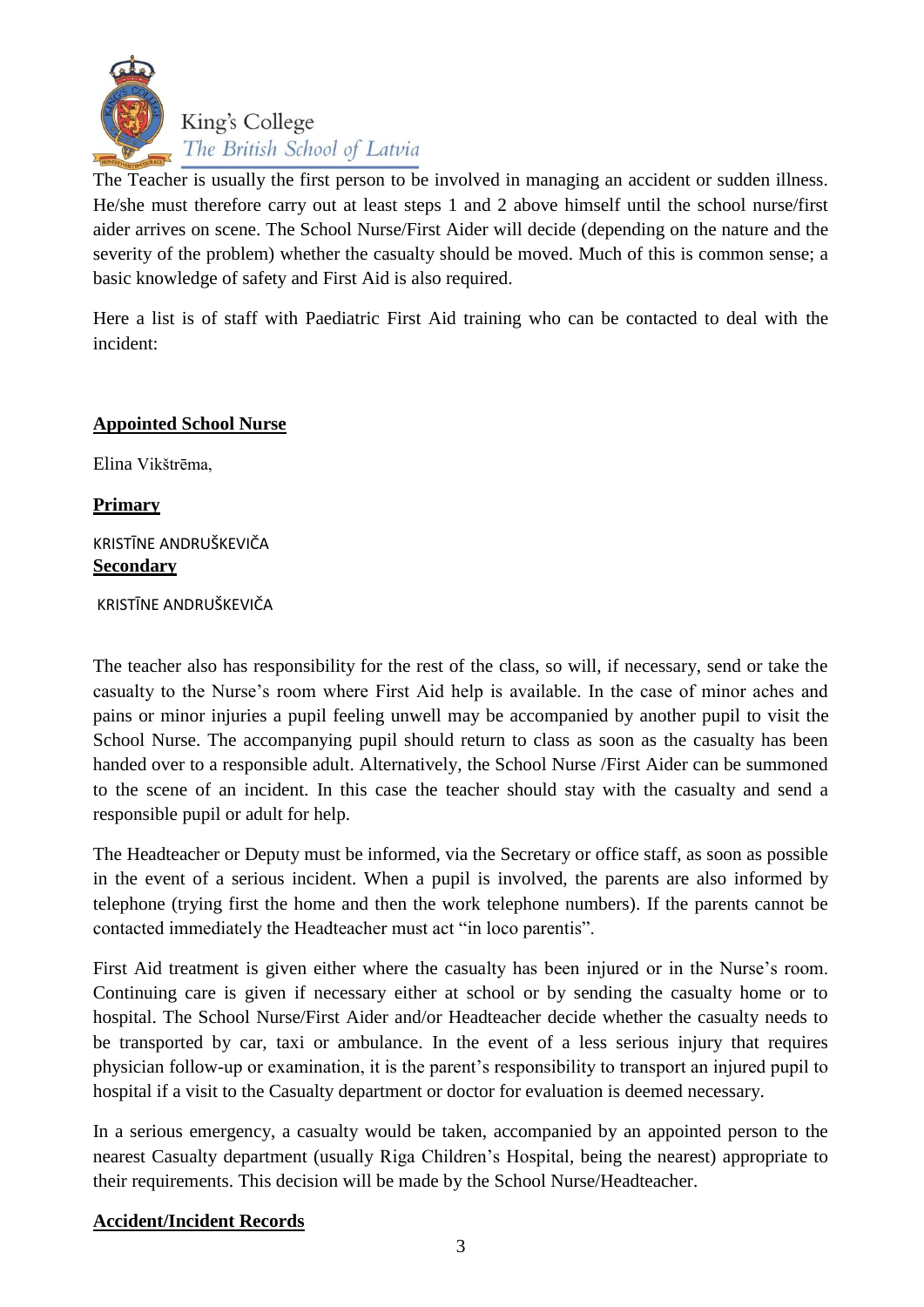

The Teacher is usually the first person to be involved in managing an accident or sudden illness. He/she must therefore carry out at least steps 1 and 2 above himself until the school nurse/first aider arrives on scene. The School Nurse/First Aider will decide (depending on the nature and the severity of the problem) whether the casualty should be moved. Much of this is common sense; a basic knowledge of safety and First Aid is also required.

Here a list is of staff with Paediatric First Aid training who can be contacted to deal with the incident:

#### **Appointed School Nurse**

Elina Vikštrēma,

**Primary**

#### KRISTĪNE ANDRUŠKEVIČA **Secondary**

KRISTĪNE ANDRUŠKEVIČA

The teacher also has responsibility for the rest of the class, so will, if necessary, send or take the casualty to the Nurse's room where First Aid help is available. In the case of minor aches and pains or minor injuries a pupil feeling unwell may be accompanied by another pupil to visit the School Nurse. The accompanying pupil should return to class as soon as the casualty has been handed over to a responsible adult. Alternatively, the School Nurse /First Aider can be summoned to the scene of an incident. In this case the teacher should stay with the casualty and send a responsible pupil or adult for help.

The Headteacher or Deputy must be informed, via the Secretary or office staff, as soon as possible in the event of a serious incident. When a pupil is involved, the parents are also informed by telephone (trying first the home and then the work telephone numbers). If the parents cannot be contacted immediately the Headteacher must act "in loco parentis".

First Aid treatment is given either where the casualty has been injured or in the Nurse's room. Continuing care is given if necessary either at school or by sending the casualty home or to hospital. The School Nurse/First Aider and/or Headteacher decide whether the casualty needs to be transported by car, taxi or ambulance. In the event of a less serious injury that requires physician follow-up or examination, it is the parent's responsibility to transport an injured pupil to hospital if a visit to the Casualty department or doctor for evaluation is deemed necessary.

In a serious emergency, a casualty would be taken, accompanied by an appointed person to the nearest Casualty department (usually Riga Children's Hospital, being the nearest) appropriate to their requirements. This decision will be made by the School Nurse/Headteacher.

#### **Accident/Incident Records**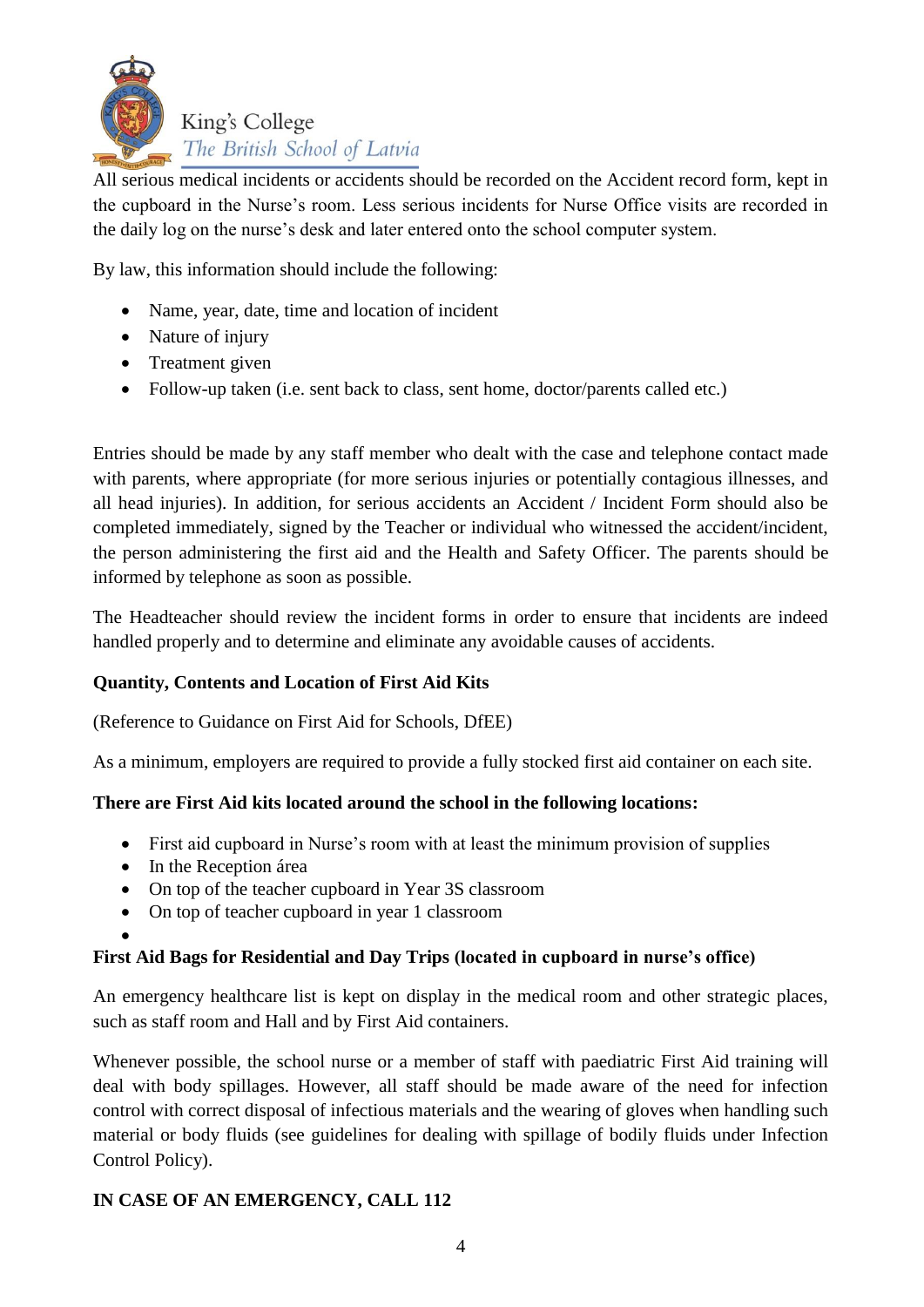

All serious medical incidents or accidents should be recorded on the Accident record form, kept in the cupboard in the Nurse's room. Less serious incidents for Nurse Office visits are recorded in the daily log on the nurse's desk and later entered onto the school computer system.

By law, this information should include the following:

- Name, year, date, time and location of incident
- Nature of injury
- Treatment given
- Follow-up taken (i.e. sent back to class, sent home, doctor/parents called etc.)

Entries should be made by any staff member who dealt with the case and telephone contact made with parents, where appropriate (for more serious injuries or potentially contagious illnesses, and all head injuries). In addition, for serious accidents an Accident / Incident Form should also be completed immediately, signed by the Teacher or individual who witnessed the accident/incident, the person administering the first aid and the Health and Safety Officer. The parents should be informed by telephone as soon as possible.

The Headteacher should review the incident forms in order to ensure that incidents are indeed handled properly and to determine and eliminate any avoidable causes of accidents.

#### **Quantity, Contents and Location of First Aid Kits**

(Reference to Guidance on First Aid for Schools, DfEE)

As a minimum, employers are required to provide a fully stocked first aid container on each site.

#### **There are First Aid kits located around the school in the following locations:**

- First aid cupboard in Nurse's room with at least the minimum provision of supplies
- In the Reception área
- On top of the teacher cupboard in Year 3S classroom
- On top of teacher cupboard in year 1 classroom

 $\bullet$ 

#### **First Aid Bags for Residential and Day Trips (located in cupboard in nurse's office)**

An emergency healthcare list is kept on display in the medical room and other strategic places, such as staff room and Hall and by First Aid containers.

Whenever possible, the school nurse or a member of staff with paediatric First Aid training will deal with body spillages. However, all staff should be made aware of the need for infection control with correct disposal of infectious materials and the wearing of gloves when handling such material or body fluids (see guidelines for dealing with spillage of bodily fluids under Infection Control Policy).

#### **IN CASE OF AN EMERGENCY, CALL 112**